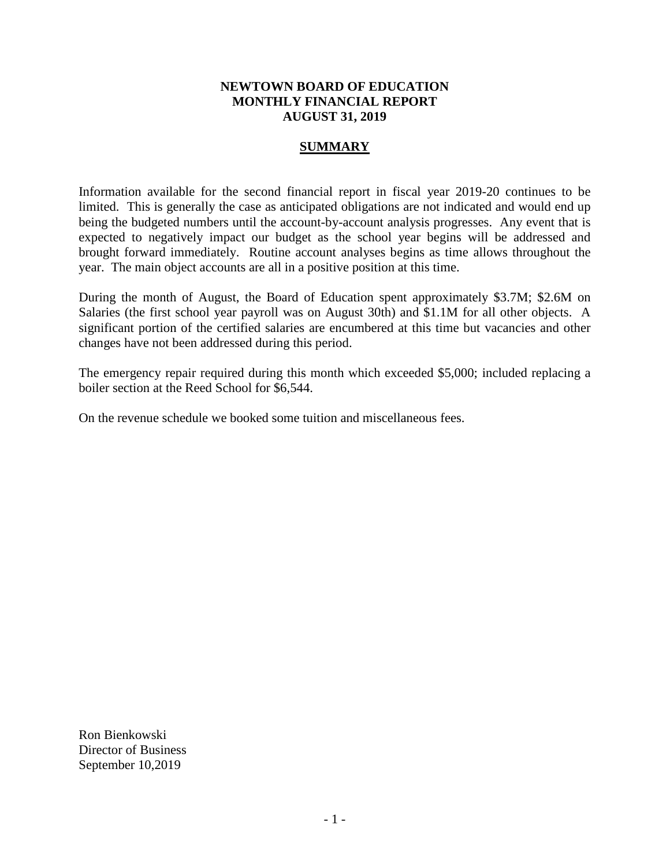# **NEWTOWN BOARD OF EDUCATION MONTHLY FINANCIAL REPORT AUGUST 31, 2019**

# **SUMMARY**

Information available for the second financial report in fiscal year 2019-20 continues to be limited. This is generally the case as anticipated obligations are not indicated and would end up being the budgeted numbers until the account-by-account analysis progresses. Any event that is expected to negatively impact our budget as the school year begins will be addressed and brought forward immediately. Routine account analyses begins as time allows throughout the year. The main object accounts are all in a positive position at this time.

During the month of August, the Board of Education spent approximately \$3.7M; \$2.6M on Salaries (the first school year payroll was on August 30th) and \$1.1M for all other objects. A significant portion of the certified salaries are encumbered at this time but vacancies and other changes have not been addressed during this period.

The emergency repair required during this month which exceeded \$5,000; included replacing a boiler section at the Reed School for \$6,544.

On the revenue schedule we booked some tuition and miscellaneous fees.

Ron Bienkowski Director of Business September 10,2019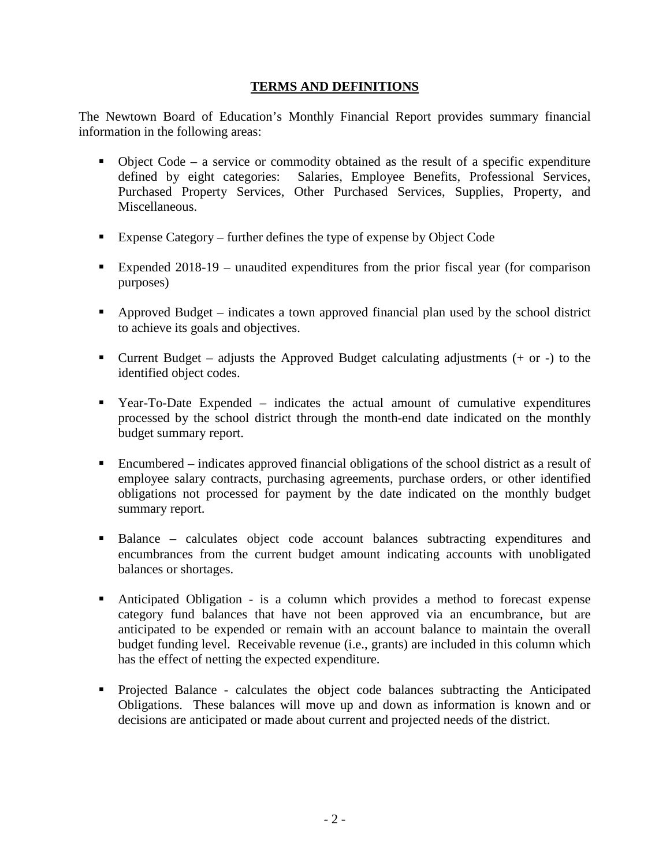# **TERMS AND DEFINITIONS**

The Newtown Board of Education's Monthly Financial Report provides summary financial information in the following areas:

- $\bullet$  Object Code a service or commodity obtained as the result of a specific expenditure defined by eight categories: Salaries, Employee Benefits, Professional Services, Purchased Property Services, Other Purchased Services, Supplies, Property, and Miscellaneous.
- Expense Category further defines the type of expense by Object Code
- Expended 2018-19 unaudited expenditures from the prior fiscal year (for comparison purposes)
- Approved Budget indicates a town approved financial plan used by the school district to achieve its goals and objectives.
- **Current Budget** adjusts the Approved Budget calculating adjustments  $(+)$  or  $-)$  to the identified object codes.
- Year-To-Date Expended indicates the actual amount of cumulative expenditures processed by the school district through the month-end date indicated on the monthly budget summary report.
- Encumbered indicates approved financial obligations of the school district as a result of employee salary contracts, purchasing agreements, purchase orders, or other identified obligations not processed for payment by the date indicated on the monthly budget summary report.
- Balance calculates object code account balances subtracting expenditures and encumbrances from the current budget amount indicating accounts with unobligated balances or shortages.
- Anticipated Obligation is a column which provides a method to forecast expense category fund balances that have not been approved via an encumbrance, but are anticipated to be expended or remain with an account balance to maintain the overall budget funding level. Receivable revenue (i.e., grants) are included in this column which has the effect of netting the expected expenditure.
- Projected Balance calculates the object code balances subtracting the Anticipated Obligations. These balances will move up and down as information is known and or decisions are anticipated or made about current and projected needs of the district.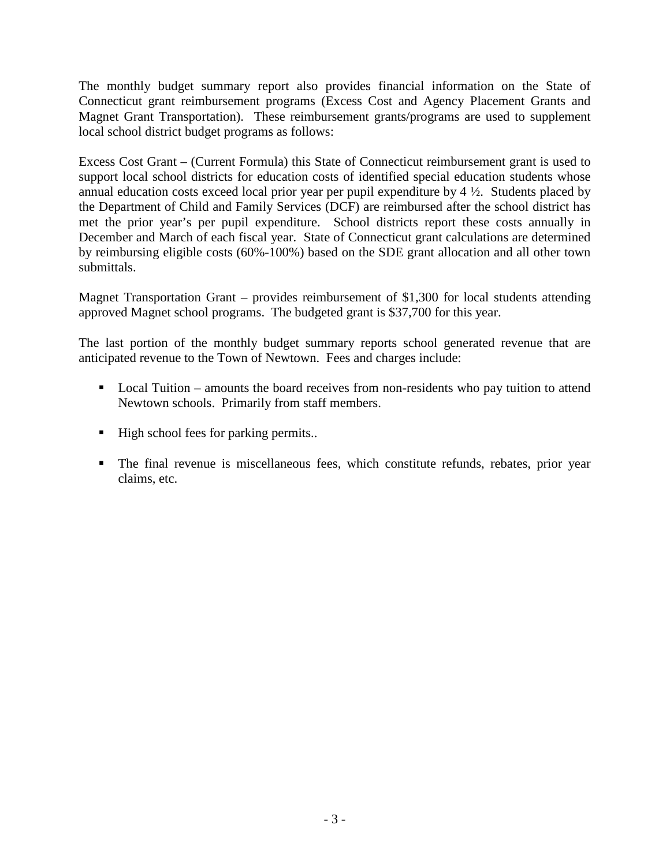The monthly budget summary report also provides financial information on the State of Connecticut grant reimbursement programs (Excess Cost and Agency Placement Grants and Magnet Grant Transportation). These reimbursement grants/programs are used to supplement local school district budget programs as follows:

Excess Cost Grant – (Current Formula) this State of Connecticut reimbursement grant is used to support local school districts for education costs of identified special education students whose annual education costs exceed local prior year per pupil expenditure by 4 ½. Students placed by the Department of Child and Family Services (DCF) are reimbursed after the school district has met the prior year's per pupil expenditure. School districts report these costs annually in December and March of each fiscal year. State of Connecticut grant calculations are determined by reimbursing eligible costs (60%-100%) based on the SDE grant allocation and all other town submittals.

Magnet Transportation Grant – provides reimbursement of \$1,300 for local students attending approved Magnet school programs. The budgeted grant is \$37,700 for this year.

The last portion of the monthly budget summary reports school generated revenue that are anticipated revenue to the Town of Newtown. Fees and charges include:

- Local Tuition amounts the board receives from non-residents who pay tuition to attend Newtown schools. Primarily from staff members.
- High school fees for parking permits..
- The final revenue is miscellaneous fees, which constitute refunds, rebates, prior year claims, etc.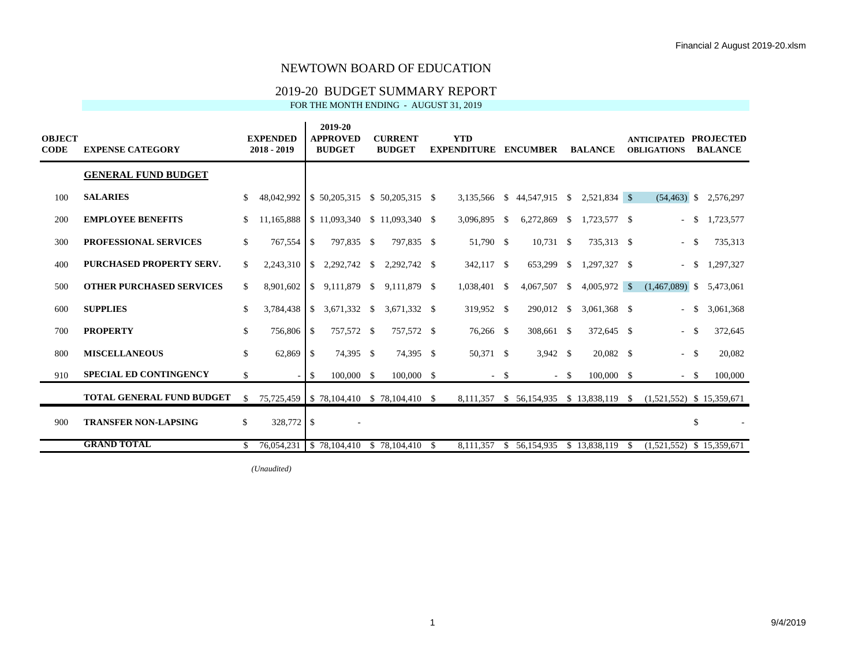## 2019-20 BUDGET SUMMARY REPORT

FOR THE MONTH ENDING - AUGUST 31, 2019

| <b>OBJECT</b><br><b>CODE</b> | <b>EXPENSE CATEGORY</b>          |     | <b>EXPENDED</b><br>$2018 - 2019$ |               | 2019-20<br><b>APPROVED</b><br><b>BUDGET</b> |               | <b>CURRENT</b><br><b>BUDGET</b>                 |      | <b>YTD</b><br><b>EXPENDITURE</b> |        | <b>ENCUMBER</b>  |          | <b>BALANCE</b> |               | <b>ANTICIPATED</b><br><b>OBLIGATIONS</b>                           |        | <b>PROJECTED</b><br><b>BALANCE</b> |
|------------------------------|----------------------------------|-----|----------------------------------|---------------|---------------------------------------------|---------------|-------------------------------------------------|------|----------------------------------|--------|------------------|----------|----------------|---------------|--------------------------------------------------------------------|--------|------------------------------------|
|                              | <b>GENERAL FUND BUDGET</b>       |     |                                  |               |                                             |               |                                                 |      |                                  |        |                  |          |                |               |                                                                    |        |                                    |
| 100                          | <b>SALARIES</b>                  |     | 48,042,992                       |               | \$50,205,315                                |               | $$50,205,315$ \$                                |      | 3,135,566                        |        | $$44,547,915$ \; |          | 2,521,834 \$   |               | $(54, 463)$ \$                                                     |        | 2,576,297                          |
| 200                          | <b>EMPLOYEE BENEFITS</b>         |     | 11,165,888                       |               |                                             |               | \$11,093,340 \$11,093,340 \$                    |      | 3,096,895                        | \$     | 6,272,869        | <b>S</b> | 1,723,577 \$   |               |                                                                    | $- S$  | 1,723,577                          |
| 300                          | <b>PROFESSIONAL SERVICES</b>     | \$  | 767,554                          | <sup>\$</sup> | 797,835 \$                                  |               | 797,835 \$                                      |      | 51,790 \$                        |        | $10,731$ \$      |          | 735,313 \$     |               |                                                                    | $-$ \$ | 735,313                            |
| 400                          | PURCHASED PROPERTY SERV.         | \$. | 2,243,310                        | <sup>S</sup>  | 2,292,742                                   | $\mathbb{S}$  | 2,292,742 \$                                    |      | 342,117 \$                       |        | 653,299 \$       |          | 1,297,327 \$   |               |                                                                    | $-$ \$ | 1,297,327                          |
| 500                          | <b>OTHER PURCHASED SERVICES</b>  | \$. | 8,901,602                        | <sup>\$</sup> | 9,111,879                                   | $\mathbb{S}$  | 9,111,879 \$                                    |      | 1,038,401                        | \$     | 4,067,507        | -S       | $4,005,972$ \$ |               | $(1,467,089)$ \$                                                   |        | 5,473,061                          |
| 600                          | <b>SUPPLIES</b>                  | \$  | 3,784,438                        | <sup>\$</sup> | 3,671,332 \$                                |               | 3,671,332 \$                                    |      | 319,952 \$                       |        | 290,012 \$       |          | 3,061,368 \$   |               |                                                                    | $-$ \$ | 3,061,368                          |
| 700                          | <b>PROPERTY</b>                  | \$  | 756,806                          | <b>S</b>      | 757,572 \$                                  |               | 757,572 \$                                      |      | 76,266 \$                        |        | 308,661 \$       |          | 372,645 \$     |               |                                                                    | $-$ \$ | 372,645                            |
| 800                          | <b>MISCELLANEOUS</b>             | \$  | 62,869                           | -S            | 74,395 \$                                   |               | 74,395 \$                                       |      | 50,371 \$                        |        | $3,942$ \$       |          | 20,082 \$      |               |                                                                    | $- S$  | 20,082                             |
| 910                          | <b>SPECIAL ED CONTINGENCY</b>    | \$  | $\sim$                           | -S            | 100,000                                     | <sup>\$</sup> | 100,000 \$                                      |      |                                  | $-$ \$ |                  | $-$ \$   | 100,000        | $\mathbb{S}$  |                                                                    | $-$ \$ | 100,000                            |
|                              | <b>TOTAL GENERAL FUND BUDGET</b> | \$  |                                  |               |                                             |               | 75,725,459 \ \$ 78,104,410 \ \$ 78,104,410 \ \$ |      |                                  |        |                  |          |                |               | 8,111,357 \$ 56,154,935 \$ 13,838,119 \$ (1,521,552) \$ 15,359,671 |        |                                    |
| 900                          | <b>TRANSFER NON-LAPSING</b>      | \$. | 328,772 \$                       |               |                                             |               |                                                 |      |                                  |        |                  |          |                |               |                                                                    | \$     |                                    |
|                              | <b>GRAND TOTAL</b>               |     | 76,054,231                       |               | \$78,104,410                                |               | \$78,104,410                                    | - \$ | 8.111.357                        |        | \$ 56,154,935    |          | \$13,838,119   | <sup>\$</sup> | $(1,521,552)$ \$ 15,359,671                                        |        |                                    |

*(Unaudited)*  $\overline{1}$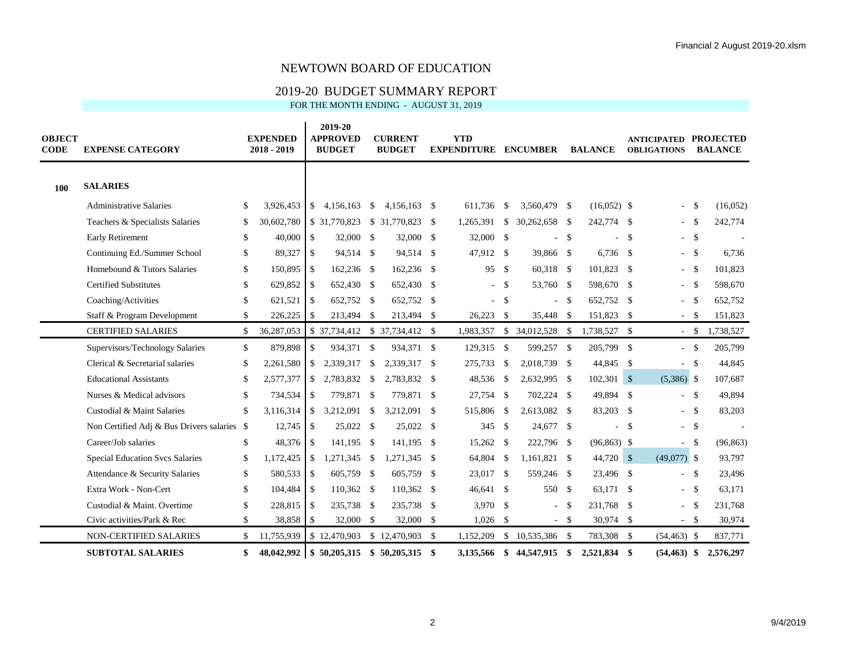#### 2019-20 BUDGET SUMMARY REPORT

| <b>OBJECT</b><br><b>CODE</b> | <b>EXPENSE CATEGORY</b>                     |              | <b>EXPENDED</b><br>2018 - 2019 |                | 2019-20<br><b>APPROVED</b><br><b>BUDGET</b> |               | <b>CURRENT</b><br><b>BUDGET</b> |              | <b>YTD</b><br><b>EXPENDITURE ENCUMBER</b> |               |                   |               | <b>BALANCE</b> |     | <b>ANTICIPATED PROJECTED</b><br><b>OBLIGATIONS</b> |        | <b>BALANCE</b> |
|------------------------------|---------------------------------------------|--------------|--------------------------------|----------------|---------------------------------------------|---------------|---------------------------------|--------------|-------------------------------------------|---------------|-------------------|---------------|----------------|-----|----------------------------------------------------|--------|----------------|
| 100                          | <b>SALARIES</b>                             |              |                                |                |                                             |               |                                 |              |                                           |               |                   |               |                |     |                                                    |        |                |
|                              | <b>Administrative Salaries</b>              | S.           | 3,926,453                      |                | \$4,156,163                                 | \$            | 4,156,163                       | - \$         | 611.736                                   | - \$          | 3,560,479 \$      |               | $(16,052)$ \$  |     | $\bar{a}$                                          | - \$   | (16,052)       |
|                              | Teachers & Specialists Salaries             | \$           | 30,602,780                     |                | \$ 31,770,823                               |               | \$ 31,770,823                   | -S           | 1,265,391                                 | <sup>\$</sup> | 30,262,658        | - S           | 242,774 \$     |     | $\overline{\phantom{a}}$                           | \$     | 242,774        |
|                              | <b>Early Retirement</b>                     | \$           | 40,000                         | <b>S</b>       | 32,000 \$                                   |               | 32,000                          | $\mathbb{S}$ | 32,000 \$                                 |               |                   | \$            |                | -\$ |                                                    | $-$ \$ |                |
|                              | Continuing Ed./Summer School                | \$           | 89,327                         | l s            | 94,514 \$                                   |               | 94,514                          | $\mathbb{S}$ | 47.912 \$                                 |               | 39,866 \$         |               | $6,736$ \$     |     | $\sim$                                             | - \$   | 6.736          |
|                              | Homebound & Tutors Salaries                 | \$           | 150,895                        | l \$           | 162,236 \$                                  |               | 162,236                         | $\mathbb{S}$ | 95 \$                                     |               | 60,318 \$         |               | 101,823 \$     |     | $\sim$                                             | \$     | 101,823        |
|                              | <b>Certified Substitutes</b>                | \$           | 629,852                        | $\mathsf{I}$   | 652,430 \$                                  |               | 652,430                         | $\mathbb{S}$ | $\sim$                                    | - \$          | 53,760            | $\mathbf{s}$  | 598,670 \$     |     | $\sim$                                             | -\$    | 598,670        |
|                              | Coaching/Activities                         | \$           | 621,521                        | $\mathsf{S}$   | 652,752 \$                                  |               | 652,752                         | $\mathbb{S}$ | ÷                                         | -\$           |                   | -S            | 652,752 \$     |     | $\blacksquare$                                     | - \$   | 652,752        |
|                              | Staff & Program Development                 | \$           | 226,225                        | -\$            | 213,494 \$                                  |               | 213,494                         | -S           | 26,223                                    | - \$          | 35,448            | - \$          | 151,823 \$     |     | $\overline{\phantom{a}}$                           | -S     | 151,823        |
|                              | <b>CERTIFIED SALARIES</b>                   | \$           | 36,287,053                     |                |                                             |               | $$37,734,412$ $$37,734,412$     | $\mathbb{S}$ | 1,983,357                                 | \$            | 34,012,528 \$     |               | 1,738,527 \$   |     | $-$ \$                                             |        | 1,738,527      |
|                              | Supervisors/Technology Salaries             | $\mathbb{S}$ | 879,898                        | <sup>\$</sup>  | 934,371 \$                                  |               | 934,371 \$                      |              | 129,315 \$                                |               | 599,257 \$        |               | 205,799 \$     |     |                                                    | $-$ \$ | 205,799        |
|                              | Clerical & Secretarial salaries             | \$           | 2,261,580                      | -\$            | 2,339,317                                   | $\mathcal{S}$ | 2,339,317                       | -S           | 275,733                                   | - \$          | 2,018,739         | - \$          | 44,845 \$      |     | $\sim$                                             | -S     | 44,845         |
|                              | <b>Educational Assistants</b>               | \$           | 2,577,377                      | <sup>\$</sup>  | 2,783,832                                   | -\$           | 2,783,832                       | $\mathbb{S}$ | 48,536                                    | - \$          | 2,632,995         | -\$           | $102,301$ \$   |     | $(5,386)$ \$                                       |        | 107,687        |
|                              | Nurses & Medical advisors                   | \$           | 734,534                        | $\mathsf{S}$   | 779,871 \$                                  |               | 779,871 \$                      |              | 27,754 \$                                 |               | 702,224 \$        |               | 49,894 \$      |     |                                                    | $-$ \$ | 49,894         |
|                              | Custodial & Maint Salaries                  | \$           | 3,116,314                      | <b>S</b>       | 3,212,091                                   | -S            | 3,212,091                       | -S           | 515,806                                   | -\$           | 2,613,082         | - \$          | 83,203 \$      |     |                                                    | $-$ \$ | 83,203         |
|                              | Non Certified Adj & Bus Drivers salaries \$ |              | 12,745                         | l \$           | 25,022 \$                                   |               | 25,022                          | -S           | 345 $\frac{1}{2}$                         |               | 24,677            | $\mathbf{s}$  |                | -\$ | $\sim$                                             | - \$   |                |
|                              | Career/Job salaries                         | \$           | 48,376                         | $\overline{1}$ | 141,195 \$                                  |               | 141,195                         | -\$          | 15,262 \$                                 |               | 222,796 \$        |               | $(96,863)$ \$  |     | $\overline{\phantom{a}}$                           | -S     | (96, 863)      |
|                              | <b>Special Education Svcs Salaries</b>      | $\mathbb{S}$ | 1,172,425                      | <b>S</b>       | 1,271,345                                   | $\mathbf{s}$  | 1,271,345                       | -\$          | 64,804 \$                                 |               | 1,161,821         | -S            | 44,720 \$      |     | $(49,077)$ \$                                      |        | 93,797         |
|                              | Attendance & Security Salaries              | $\mathbb{S}$ | 580,533                        | l \$           | 605,759 \$                                  |               | 605,759                         | -S           | 23,017 \$                                 |               | 559,246           | - \$          | 23,496 \$      |     |                                                    | $-$ \$ | 23,496         |
|                              | Extra Work - Non-Cert                       | \$           | 104,484                        | $\mathsf{I}$   | $110,362$ \$                                |               | 110,362                         | -S           | 46,641 \$                                 |               | 550 \$            |               | 63,171 \$      |     | $\sim$                                             | - \$   | 63,171         |
|                              | Custodial & Maint. Overtime                 | \$           | 228,815                        | l \$           | 235,738 \$                                  |               | 235,738                         | $\mathbb{S}$ | $3,970$ \$                                |               |                   | <sup>\$</sup> | 231,768 \$     |     | $\sim$                                             | -S     | 231,768        |
|                              | Civic activities/Park & Rec                 | \$           | 38,858                         | l s            | 32,000 \$                                   |               | 32,000                          | $\mathbb{S}$ | 1,026                                     | - \$          |                   | $-$ \$        | 30,974 \$      |     |                                                    | $-$ \$ | 30,974         |
|                              | <b>NON-CERTIFIED SALARIES</b>               | \$           | 11,755,939                     |                | \$12,470,903                                |               | \$12,470,903                    | $\mathbb{S}$ | 1,152,209                                 |               | $$10,535,386$ \\$ |               | 783,308 \$     |     | $(54, 463)$ \$                                     |        | 837,771        |
|                              | <b>SUBTOTAL SALARIES</b>                    | \$           | 48.042.992                     |                | \$50,205,315                                |               | \$50,205,315                    | \$           | 3.135.566 \$                              |               | 44,547,915        | \$            | 2,521,834 \$   |     | $(54, 463)$ \$                                     |        | 2,576,297      |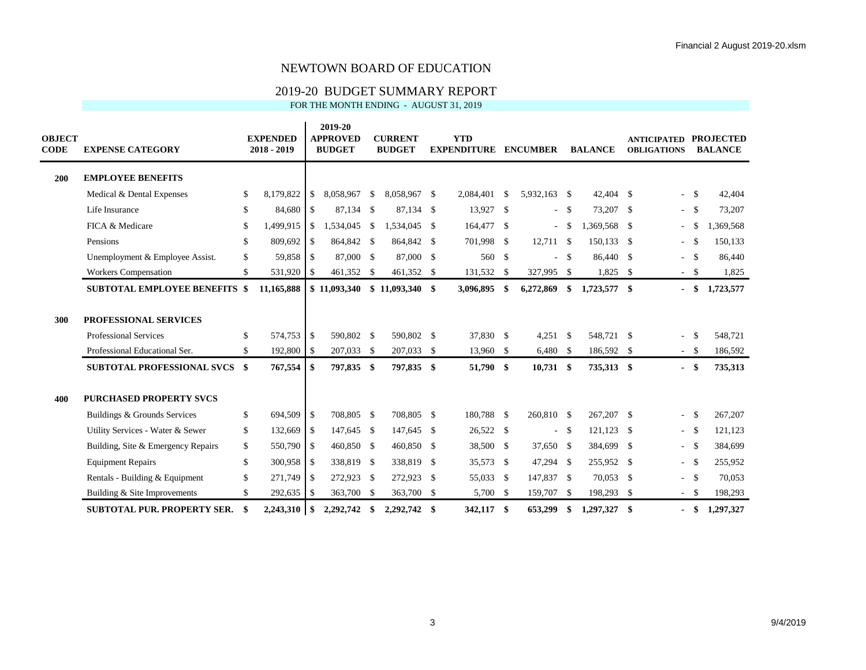### 2019-20 BUDGET SUMMARY REPORT

| <b>OBJECT</b><br><b>CODE</b> | <b>EXPENSE CATEGORY</b>                                                                       |              | <b>EXPENDED</b><br>$2018 - 2019$ |              | 2019-20<br><b>APPROVED</b><br><b>BUDGET</b> |     | <b>CURRENT</b><br><b>BUDGET</b> |              | <b>YTD</b><br><b>EXPENDITURE</b> |      | <b>ENCUMBER</b>          |        | <b>BALANCE</b>           | <b>ANTICIPATED</b><br><b>OBLIGATIONS</b> |                        | <b>PROJECTED</b><br><b>BALANCE</b> |
|------------------------------|-----------------------------------------------------------------------------------------------|--------------|----------------------------------|--------------|---------------------------------------------|-----|---------------------------------|--------------|----------------------------------|------|--------------------------|--------|--------------------------|------------------------------------------|------------------------|------------------------------------|
| 200                          | <b>EMPLOYEE BENEFITS</b>                                                                      |              |                                  |              |                                             |     |                                 |              |                                  |      |                          |        |                          |                                          |                        |                                    |
|                              | Medical & Dental Expenses                                                                     | \$           | 8,179,822                        | \$           | 8,058,967                                   | -S  | 8,058,967 \$                    |              | 2,084,401                        | -\$  | 5,932,163 \$             |        | $42,404$ \$              | $\blacksquare$                           | $\mathbf{s}$           | 42,404                             |
|                              | Life Insurance                                                                                | \$           | 84,680 \$                        |              | 87,134 \$                                   |     | 87,134 \$                       |              | 13,927 \$                        |      |                          | $-$ \$ | 73,207 \$                | $\sim$                                   | $\mathbf{\hat{s}}$     | 73,207                             |
|                              | FICA & Medicare                                                                               | \$           | 1,499,915                        | \$           | 1,534,045                                   | -S  | 1,534,045                       | - \$         | 164,477 \$                       |      | $\overline{\phantom{a}}$ | -S     | 1,369,568 \$             | $\overline{\phantom{a}}$                 | -S                     | 1,369,568                          |
|                              | Pensions                                                                                      | $\mathbb{S}$ | 809,692                          | $\mathbb{S}$ | 864,842 \$                                  |     | 864,842 \$                      |              | 701,998 \$                       |      | $12,711$ \$              |        | 150,133 \$               | $\sim$                                   | $\mathbf{s}$           | 150,133                            |
|                              | Unemployment & Employee Assist.                                                               | \$           | 59,858 \$                        |              | 87,000 \$                                   |     | 87,000 \$                       |              | 560 \$                           |      | $\sim$                   | - \$   | 86,440 \$                | $\sim$                                   | $\mathbf{s}$           | 86,440                             |
|                              | <b>Workers Compensation</b>                                                                   | \$           | 531,920 \$                       |              | 461,352 \$                                  |     | 461,352 \$                      |              | 131,532                          | -\$  | 327,995 \$               |        | $1,825$ \$               |                                          | $-$ \$                 | 1,825                              |
|                              | <b>SUBTOTAL EMPLOYEE BENEFITS \$</b>                                                          |              | 11,165,888                       |              | \$11,093,340                                |     | \$11,093,340                    | \$           | 3,096,895                        | \$   | 6,272,869                | \$     | 1,723,577 \$             |                                          | $-$ \$                 | 1,723,577                          |
| 300                          | <b>PROFESSIONAL SERVICES</b><br><b>Professional Services</b><br>Professional Educational Ser. | \$<br>\$     | 574,753<br>192,800 \$            | -S           | 590.802<br>207,033 \$                       | -S  | 590,802 \$<br>207,033 \$        |              | 37,830 \$<br>13,960              | - \$ | $4,251$ \$<br>$6,480$ \$ |        | 548,721 \$<br>186,592 \$ | $\blacksquare$                           | $\mathbf{s}$<br>$-$ \$ | 548,721<br>186,592                 |
|                              | <b>SUBTOTAL PROFESSIONAL SVCS \$</b>                                                          |              | 767,554                          | \$           | 797,835 \$                                  |     | 797,835                         | \$           | 51,790 \$                        |      | $10,731$ \$              |        | 735,313 \$               | $\blacksquare$                           | - \$                   | 735,313                            |
| 400                          | <b>PURCHASED PROPERTY SVCS</b><br>Buildings & Grounds Services                                | \$           | 694,509 \$                       |              | 708,805 \$                                  |     | 708,805 \$                      |              | 180,788 \$                       |      | 260,810 \$               |        | 267,207 \$               |                                          | <b>S</b>               | 267,207                            |
|                              | Utility Services - Water & Sewer                                                              | \$           | 132,669 \$                       |              | 147,645 \$                                  |     | 147,645                         | - \$         | 26,522 \$                        |      | $\sim$                   | - \$   | $121,123$ \$             |                                          | $-$ \$                 | 121,123                            |
|                              | Building, Site & Emergency Repairs                                                            | $\mathbb{S}$ | 550,790 \$                       |              | 460,850 \$                                  |     | 460,850                         | $\mathbf{s}$ | 38,500                           | -S   | 37,650 \$                |        | 384,699 \$               | $\sim$                                   | <b>S</b>               | 384,699                            |
|                              | <b>Equipment Repairs</b>                                                                      | $\mathbb{S}$ | 300,958 \$                       |              | 338,819 \$                                  |     | 338,819                         | -S           | 35,573                           | - \$ | 47,294                   | - \$   | 255,952 \$               | $\sim$                                   | $\mathbf{s}$           | 255,952                            |
|                              | Rentals - Building & Equipment                                                                | $\mathbb{S}$ | 271,749 \$                       |              | 272,923 \$                                  |     | 272,923                         | - \$         | 55,033 \$                        |      | 147,837 \$               |        | 70,053 \$                | $\sim$                                   | $\mathbf{\hat{s}}$     | 70,053                             |
|                              | Building & Site Improvements                                                                  | \$           | 292,635 \$                       |              | 363,700 \$                                  |     | 363,700 \$                      |              | 5,700 \$                         |      | 159,707 \$               |        | 198,293 \$               |                                          | $-$ \$                 | 198,293                            |
|                              | <b>SUBTOTAL PUR. PROPERTY SER.</b>                                                            | \$           | $2,243,310$ \$                   |              | 2,292,742                                   | -\$ | 2,292,742                       | \$           | 342,117 \$                       |      | 653,299                  | -\$    | 1,297,327 \$             |                                          | \$                     | 1,297,327                          |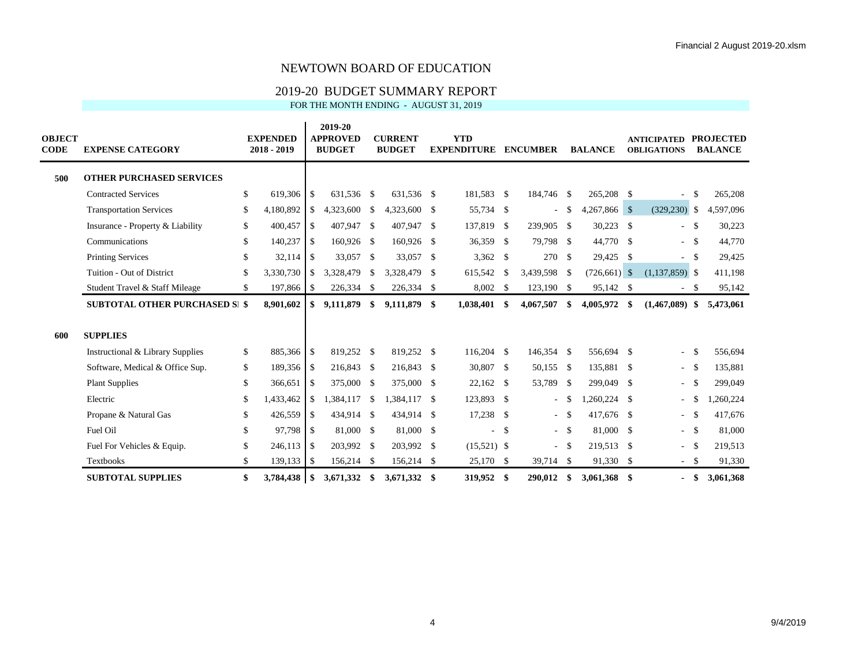### 2019-20 BUDGET SUMMARY REPORT

| <b>OBJECT</b><br><b>CODE</b> | <b>EXPENSE CATEGORY</b>               |               | <b>EXPENDED</b><br>2018 - 2019 |      | 2019-20<br><b>APPROVED</b><br><b>BUDGET</b> |              | <b>CURRENT</b><br><b>BUDGET</b> |              | <b>YTD</b><br><b>EXPENDITURE</b> |               | <b>ENCUMBER</b>          |        | <b>BALANCE</b> | <b>ANTICIPATED</b><br><b>OBLIGATIONS</b> |              | <b>PROJECTED</b><br><b>BALANCE</b> |
|------------------------------|---------------------------------------|---------------|--------------------------------|------|---------------------------------------------|--------------|---------------------------------|--------------|----------------------------------|---------------|--------------------------|--------|----------------|------------------------------------------|--------------|------------------------------------|
| 500                          | <b>OTHER PURCHASED SERVICES</b>       |               |                                |      |                                             |              |                                 |              |                                  |               |                          |        |                |                                          |              |                                    |
|                              | <b>Contracted Services</b>            | $\mathbb{S}$  | 619,306                        | -\$  | 631.536 \$                                  |              | 631,536 \$                      |              | 181,583 \$                       |               | 184,746 \$               |        | 265,208 \$     | $\overline{\phantom{a}}$                 | $\mathbb{S}$ | 265,208                            |
|                              | <b>Transportation Services</b>        | \$            | 4,180,892                      | \$   | 4,323,600                                   | -S           | 4,323,600 \$                    |              | 55,734 \$                        |               | $\overline{\phantom{a}}$ | -S     | 4,267,866 \$   | $(329, 230)$ \$                          |              | 4,597,096                          |
|                              | Insurance - Property & Liability      | \$            | 400,457                        | -S   | 407,947 \$                                  |              | 407,947                         | -S           | 137,819                          | -\$           | 239,905 \$               |        | $30,223$ \$    | $\sim$                                   | <b>S</b>     | 30,223                             |
|                              | Communications                        | \$.           | $140,237$ \$                   |      | 160,926 \$                                  |              | 160,926 \$                      |              | 36,359 \$                        |               | 79,798 \$                |        | 44,770 \$      | $-$ \$                                   |              | 44,770                             |
|                              | <b>Printing Services</b>              | $\mathcal{S}$ |                                |      | 33,057 \$                                   |              | 33,057                          | - \$         | $3,362$ \$                       |               | 270                      | - \$   | 29,425 \$      |                                          | - \$         | 29,425                             |
|                              | Tuition - Out of District             | \$.           | 3,330,730                      | \$   | 3,328,479                                   | $\mathbb{S}$ | 3,328,479                       | -S           | 615,542                          | <sup>\$</sup> | 3,439,598 \$             |        | $(726,661)$ \$ | $(1,137,859)$ \$                         |              | 411,198                            |
|                              | Student Travel & Staff Mileage        | \$            | 197,866                        | -\$  | 226,334                                     | -\$          | 226,334 \$                      |              | 8,002                            | -\$           | 123,190 \$               |        | 95,142 \$      | $\sim$                                   | - \$         | 95,142                             |
|                              | <b>SUBTOTAL OTHER PURCHASED SI \$</b> |               | 8,901,602                      | \$   | 9,111,879                                   | \$           | 9,111,879                       | -\$          | 1,038,401                        | -S            | 4,067,507                | \$     | 4,005,972      | \$<br>$(1,467,089)$ \$                   |              | 5,473,061                          |
| 600                          | <b>SUPPLIES</b>                       |               |                                |      |                                             |              |                                 |              |                                  |               |                          |        |                |                                          |              |                                    |
|                              | Instructional & Library Supplies      | \$            | 885,366 \$                     |      | 819,252 \$                                  |              | 819,252 \$                      |              | 116,204                          | <sup>\$</sup> | 146,354 \$               |        | 556,694 \$     | $\overline{\phantom{a}}$                 | $\mathbf{s}$ | 556,694                            |
|                              | Software, Medical & Office Sup.       | \$            | 189,356                        | -\$  | 216,843                                     | -S           | 216,843 \$                      |              | 30,807                           | -\$           | 50,155 \$                |        | 135,881 \$     | $-$ \$                                   |              | 135,881                            |
|                              | <b>Plant Supplies</b>                 | $\mathbb{S}$  | 366,651                        | -S   | 375,000 \$                                  |              | 375,000                         | $\mathbf{s}$ | 22,162                           | -S            | 53,789                   | - \$   | 299,049 \$     | $\sim$                                   | \$           | 299,049                            |
|                              | Electric                              | $\mathbb{S}$  | 1,433,462                      | \$   | 1,384,117                                   | $\mathbb{S}$ | 1,384,117                       | -\$          | 123,893 \$                       |               | $\sim$                   | -\$    | $,260,224$ \$  | ٠                                        | - \$         | 1,260,224                          |
|                              | Propane & Natural Gas                 | \$            | 426,559                        | -S   | 434,914                                     | -\$          | 434,914 \$                      |              | $17,238$ \$                      |               |                          | $-$ \$ | 417,676 \$     | $\sim$                                   | - \$         | 417,676                            |
|                              | Fuel Oil                              | $\mathbb{S}$  | 97,798 \$                      |      | 81,000 \$                                   |              | 81,000 \$                       |              | $\sim$                           | -S            |                          | - \$   | 81,000 \$      | $-5$                                     |              | 81,000                             |
|                              | Fuel For Vehicles & Equip.            | \$            | 246,113                        | -S   | 203,992 \$                                  |              | 203,992 \$                      |              | $(15,521)$ \$                    |               | $\sim$                   | - \$   | 219,513 \$     | $\overline{\phantom{a}}$                 | - \$         | 219,513                            |
|                              | <b>Textbooks</b>                      | \$            | 139, 133                       | - \$ | 156,214                                     | - \$         | 156,214 \$                      |              | 25,170 \$                        |               | 39,714 \$                |        | 91,330 \$      | $-$ \$                                   |              | 91,330                             |
|                              | <b>SUBTOTAL SUPPLIES</b>              | \$            | 3,784,438                      | -\$  | 3,671,332                                   | -\$          | 3,671,332                       | \$           | 319,952                          | -S            | 290.012                  | \$     | 3,061,368 \$   |                                          | - \$         | 3,061,368                          |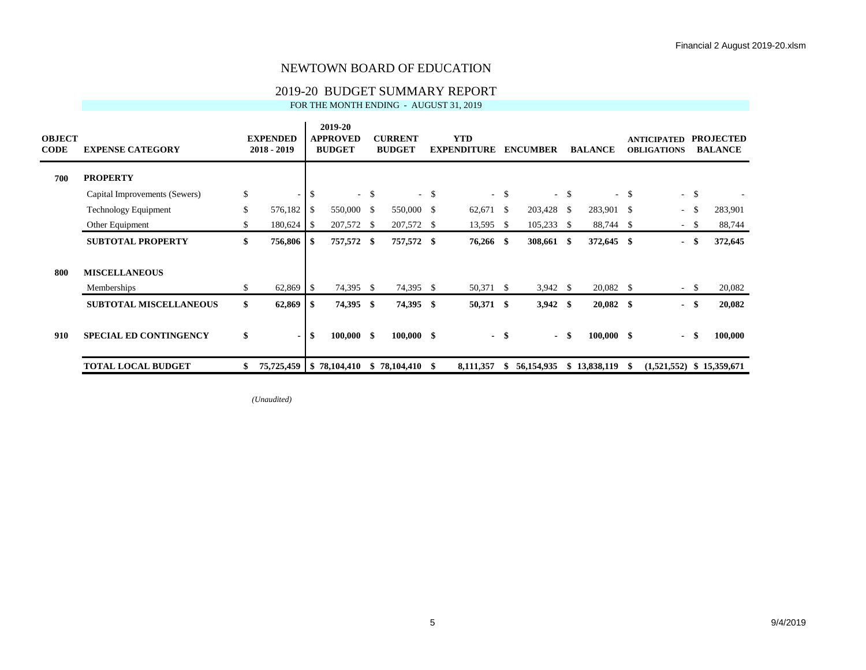#### 2019-20 BUDGET SUMMARY REPORT

FOR THE MONTH ENDING - AUGUST 31, 2019

| <b>OBJECT</b><br><b>CODE</b> | <b>EXPENSE CATEGORY</b>       | <b>EXPENDED</b><br>2018 - 2019 |     | 2019-20<br><b>APPROVED</b><br><b>BUDGET</b> |        | <b>CURRENT</b><br><b>BUDGET</b> |               | <b>YTD</b><br><b>EXPENDITURE</b> |        | <b>ENCUMBER</b> |        | <b>BALANCE</b> |        | <b>ANTICIPATED</b><br><b>OBLIGATIONS</b> |              | <b>PROJECTED</b><br><b>BALANCE</b> |
|------------------------------|-------------------------------|--------------------------------|-----|---------------------------------------------|--------|---------------------------------|---------------|----------------------------------|--------|-----------------|--------|----------------|--------|------------------------------------------|--------------|------------------------------------|
| 700                          | <b>PROPERTY</b>               |                                |     |                                             |        |                                 |               |                                  |        |                 |        |                |        |                                          |              |                                    |
|                              | Capital Improvements (Sewers) | \$<br>۰.                       | \$  |                                             | $-$ \$ | $\sim$                          | <sup>\$</sup> |                                  | $-$ \$ |                 | $-$ \$ |                | $-$ \$ | $\sim$                                   | $\mathbf{s}$ |                                    |
|                              | <b>Technology Equipment</b>   | \$<br>576,182                  | \$  | 550,000                                     | - \$   | 550,000                         | <sup>\$</sup> | 62,671                           | -\$    | 203,428         | - \$   | 283,901 \$     |        | $\sim$                                   | -S           | 283,901                            |
|                              | Other Equipment               | \$<br>180,624                  | -S  | 207,572                                     | S      | 207,572                         | -S            | 13,595                           | - S    | 105,233         | -S     | 88,744 \$      |        | $\sim$                                   | -S           | 88,744                             |
|                              | <b>SUBTOTAL PROPERTY</b>      | \$<br>756,806                  | S.  | 757,572                                     | -S     | 757,572                         | SS.           | 76,266                           | - \$   | 308,661         | - \$   | 372,645 \$     |        | $\blacksquare$                           | - \$         | 372,645                            |
| 800                          | <b>MISCELLANEOUS</b>          |                                |     |                                             |        |                                 |               |                                  |        |                 |        |                |        |                                          |              |                                    |
|                              | Memberships                   | \$<br>62,869                   | -S  | 74,395                                      | - \$   | 74,395                          | - \$          | 50,371 \$                        |        | $3,942$ \$      |        | 20,082 \$      |        |                                          | $-$ \$       | 20,082                             |
|                              | <b>SUBTOTAL MISCELLANEOUS</b> | \$<br>62,869                   | S.  | 74,395                                      | \$     | 74,395                          | SS.           | 50,371 \$                        |        | $3,942$ \$      |        | $20,082$ \$    |        | $\blacksquare$                           | -\$          | 20,082                             |
| 910                          | <b>SPECIAL ED CONTINGENCY</b> | \$<br>$\blacksquare$           | \$. | 100,000                                     | \$     | $100,000$ \$                    |               |                                  | $-$ \$ | $\sim$          | -\$    | $100,000$ \$   |        | $\blacksquare$                           | -\$          | 100,000                            |
|                              | <b>TOTAL LOCAL BUDGET</b>     | 75,725,459   \$78,104,410      |     |                                             |        | \$78,104,410                    | -S            | 8,111,357                        | \$.    | 56,154,935      |        | \$13,838,119   | -S     | $(1,521,552)$ \$ 15,359,671              |              |                                    |

*(Unaudited)*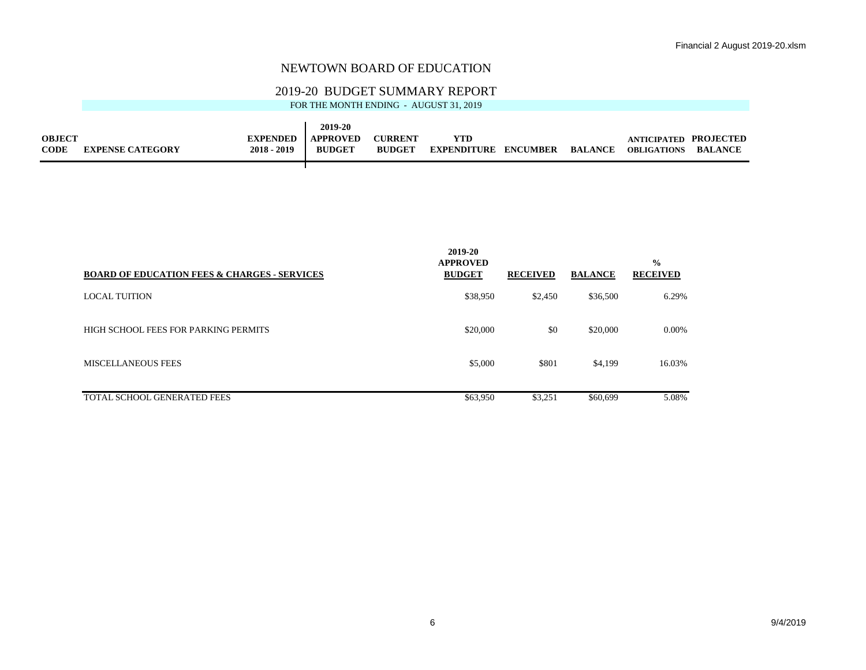## 2019-20 BUDGET SUMMARY REPORT

|               |                         |                 | 2019-20         |                |                             |         |                       |                |
|---------------|-------------------------|-----------------|-----------------|----------------|-----------------------------|---------|-----------------------|----------------|
| <b>OBJECT</b> |                         | <b>EXPENDED</b> | <b>APPROVED</b> | <b>CURRENT</b> | YTD                         |         | ANTICIPATED PROJECTED |                |
| <b>CODE</b>   | <b>EXPENSE CATEGORY</b> | $2018 - 2019$   | <b>BUDGET</b>   | <b>BUDGET</b>  | <b>EXPENDITURE ENCUMBER</b> | BALANCE | <b>OBLIGATIONS</b>    | <b>BALANCE</b> |
|               |                         |                 |                 |                |                             |         |                       |                |

| <b>BOARD OF EDUCATION FEES &amp; CHARGES - SERVICES</b> | 2019-20<br><b>APPROVED</b><br><b>BUDGET</b> | <b>RECEIVED</b> | <b>BALANCE</b> | $\frac{0}{0}$<br><b>RECEIVED</b> |
|---------------------------------------------------------|---------------------------------------------|-----------------|----------------|----------------------------------|
| <b>LOCAL TUITION</b>                                    | \$38,950                                    | \$2,450         | \$36,500       | 6.29%                            |
| HIGH SCHOOL FEES FOR PARKING PERMITS                    | \$20,000                                    | \$0             | \$20,000       | 0.00%                            |
| <b>MISCELLANEOUS FEES</b>                               | \$5,000                                     | \$801           | \$4,199        | 16.03%                           |
| TOTAL SCHOOL GENERATED FEES                             | \$63,950                                    | \$3,251         | \$60,699       | 5.08%                            |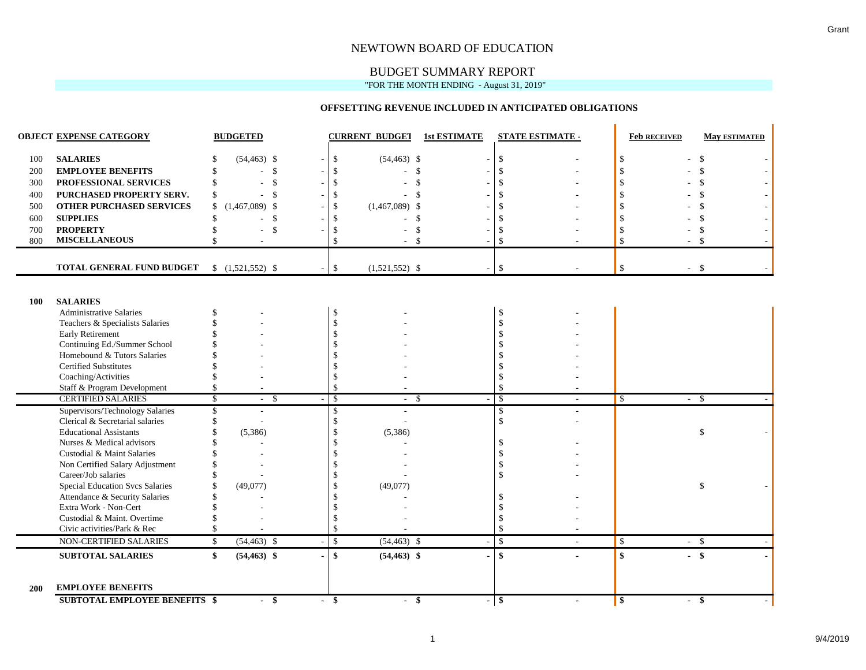## BUDGET SUMMARY REPORT

"FOR THE MONTH ENDING - August 31, 2019"

#### **OFFSETTING REVENUE INCLUDED IN ANTICIPATED OBLIGATIONS**

|            | <b>OBJECT EXPENSE CATEGORY</b>                             |                         | <b>BUDGETED</b>              |                |               | <b>CURRENT BUDGET</b> | <b>1st ESTIMATE</b> |                                     | <b>STATE ESTIMATE -</b> | <b>Feb RECEIVED</b>             | <b>May ESTIMATED</b> |  |
|------------|------------------------------------------------------------|-------------------------|------------------------------|----------------|---------------|-----------------------|---------------------|-------------------------------------|-------------------------|---------------------------------|----------------------|--|
| 100        | <b>SALARIES</b>                                            |                         | $(54, 463)$ \$               |                | \$            | $(54, 463)$ \$        | $\sim$              | \$                                  |                         | \$                              | \$                   |  |
| 200        | <b>EMPLOYEE BENEFITS</b>                                   |                         | $\mathbf{\$}$                |                | -\$           | \$                    |                     | $\mathcal{S}$                       |                         |                                 | $\mathcal{S}$        |  |
| 300        | PROFESSIONAL SERVICES                                      |                         | \$                           |                |               | \$                    |                     | $\mathcal{S}$                       |                         |                                 | \$                   |  |
| 400        | PURCHASED PROPERTY SERV.                                   | \$                      | -\$                          |                | .S            | \$.                   |                     | $\mathcal{S}$                       |                         |                                 | \$                   |  |
| 500        | <b>OTHER PURCHASED SERVICES</b>                            | \$                      | $(1,467,089)$ \$             |                | -\$           | $(1,467,089)$ \$      |                     | <sup>\$</sup>                       |                         |                                 | \$                   |  |
| 600        | <b>SUPPLIES</b>                                            |                         | $\mathbf{\$}$                |                |               | <sup>\$</sup>         |                     | <sup>\$</sup>                       |                         |                                 | \$                   |  |
| 700        | <b>PROPERTY</b>                                            |                         | \$                           |                | S.            | \$                    |                     | <sup>\$</sup>                       |                         |                                 | \$                   |  |
| 800        | <b>MISCELLANEOUS</b>                                       |                         |                              |                | $\mathcal{S}$ | $\mathbf{s}$          |                     | $\mathcal{S}$                       |                         | $\mathcal{S}$                   | - \$                 |  |
|            |                                                            |                         |                              |                |               |                       |                     |                                     |                         |                                 |                      |  |
|            | TOTAL GENERAL FUND BUDGET                                  |                         | $$(1,521,552)$ \$            |                | $\mathbb{S}$  | $(1,521,552)$ \$      | $\sim$              | \$                                  |                         | \$                              | $-$ \$               |  |
|            |                                                            |                         |                              |                |               |                       |                     |                                     |                         |                                 |                      |  |
| 100        | <b>SALARIES</b>                                            |                         |                              |                |               |                       |                     |                                     |                         |                                 |                      |  |
|            | <b>Administrative Salaries</b>                             |                         |                              |                | -\$           |                       |                     | <sup>\$</sup>                       |                         |                                 |                      |  |
|            | Teachers & Specialists Salaries                            |                         |                              |                | \$            |                       |                     | $\mathbf{\hat{S}}$                  |                         |                                 |                      |  |
|            | Early Retirement                                           |                         |                              |                |               |                       |                     | <sup>\$</sup>                       |                         |                                 |                      |  |
|            | Continuing Ed./Summer School                               |                         |                              |                |               |                       |                     |                                     |                         |                                 |                      |  |
|            | Homebound & Tutors Salaries                                |                         |                              |                |               |                       |                     | -S                                  |                         |                                 |                      |  |
|            | <b>Certified Substitutes</b>                               |                         |                              |                |               |                       |                     |                                     |                         |                                 |                      |  |
|            | Coaching/Activities                                        |                         |                              |                |               |                       |                     | <sup>\$</sup>                       |                         |                                 |                      |  |
|            | Staff & Program Development                                |                         |                              |                | <sup>\$</sup> |                       |                     | <sup>\$</sup>                       |                         |                                 |                      |  |
|            | <b>CERTIFIED SALARIES</b>                                  | $\overline{\mathbb{S}}$ | $\mathbf{\hat{S}}$<br>$\sim$ |                | $\mathcal{S}$ | -\$<br>$\sim$         |                     | $\overline{\mathcal{S}}$            |                         | <b>S</b>                        | - \$<br>$\sim$       |  |
|            | Supervisors/Technology Salaries                            |                         |                              |                | \$<br>\$      |                       |                     | <sup>\$</sup><br>$\mathbf{\hat{S}}$ |                         |                                 |                      |  |
|            | Clerical & Secretarial salaries                            |                         |                              |                |               |                       |                     |                                     |                         |                                 |                      |  |
|            | <b>Educational Assistants</b><br>Nurses & Medical advisors |                         | (5,386)                      |                | <sup>\$</sup> | (5,386)               |                     | -S                                  |                         |                                 | \$                   |  |
|            | Custodial & Maint Salaries                                 |                         |                              |                |               |                       |                     | <sup>\$</sup>                       |                         |                                 |                      |  |
|            | Non Certified Salary Adjustment                            |                         |                              |                |               |                       |                     | $\mathcal{S}$                       |                         |                                 |                      |  |
|            | Career/Job salaries                                        |                         |                              |                |               |                       |                     | <sup>\$</sup>                       |                         |                                 |                      |  |
|            | <b>Special Education Svcs Salaries</b>                     |                         | (49,077)                     |                |               | (49,077)              |                     |                                     |                         |                                 | \$                   |  |
|            | Attendance & Security Salaries                             |                         |                              |                |               |                       |                     |                                     |                         |                                 |                      |  |
|            | Extra Work - Non-Cert                                      |                         |                              |                |               |                       |                     |                                     |                         |                                 |                      |  |
|            | Custodial & Maint. Overtime                                |                         |                              |                |               |                       |                     | <sup>\$</sup>                       |                         |                                 |                      |  |
|            | Civic activities/Park & Rec                                |                         |                              |                | \$            |                       |                     | <sup>\$</sup>                       |                         |                                 |                      |  |
|            | NON-CERTIFIED SALARIES                                     | $\mathbf{\hat{S}}$      | $(54, 463)$ \$               |                | $\mathbb{S}$  | $(54, 463)$ \$        |                     | $\mathbf{\hat{S}}$                  |                         | $\mathcal{S}$                   | $-$ \$               |  |
|            | <b>SUBTOTAL SALARIES</b>                                   | \$                      | $(54, 463)$ \$               |                | $\mathbf{s}$  | $(54, 463)$ \$        |                     | $\mathbf{s}$                        |                         | $\boldsymbol{\hat{\mathbf{s}}}$ | $-$ \$               |  |
|            | <b>EMPLOYEE BENEFITS</b>                                   |                         |                              |                |               |                       |                     |                                     |                         |                                 |                      |  |
| <b>200</b> |                                                            |                         |                              |                |               |                       |                     |                                     |                         |                                 |                      |  |
|            | <b>SUBTOTAL EMPLOYEE BENEFITS \$</b>                       |                         | - \$                         | $\blacksquare$ | -\$           | -\$<br>$\sim$         |                     | - \$                                |                         | $\vert$ \$                      | - \$                 |  |

 $\blacksquare$